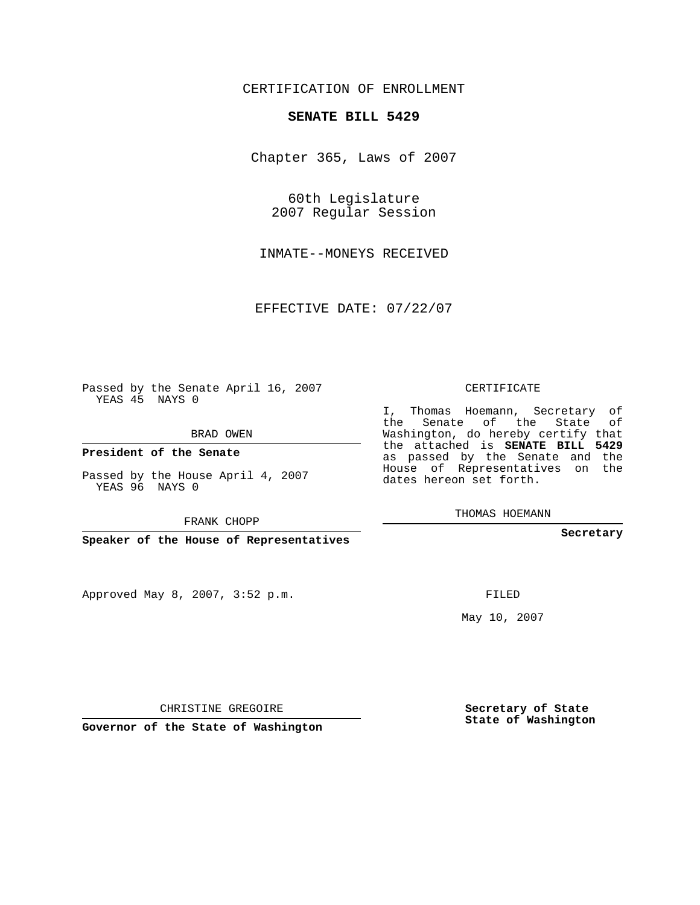# CERTIFICATION OF ENROLLMENT

#### **SENATE BILL 5429**

Chapter 365, Laws of 2007

60th Legislature 2007 Regular Session

INMATE--MONEYS RECEIVED

EFFECTIVE DATE: 07/22/07

Passed by the Senate April 16, 2007 YEAS 45 NAYS 0

BRAD OWEN

**President of the Senate**

Passed by the House April 4, 2007 YEAS 96 NAYS 0

FRANK CHOPP

**Speaker of the House of Representatives**

Approved May 8, 2007, 3:52 p.m.

CERTIFICATE

I, Thomas Hoemann, Secretary of the Senate of the State of Washington, do hereby certify that the attached is **SENATE BILL 5429** as passed by the Senate and the House of Representatives on the dates hereon set forth.

THOMAS HOEMANN

**Secretary**

FILED

May 10, 2007

**Secretary of State State of Washington**

CHRISTINE GREGOIRE

**Governor of the State of Washington**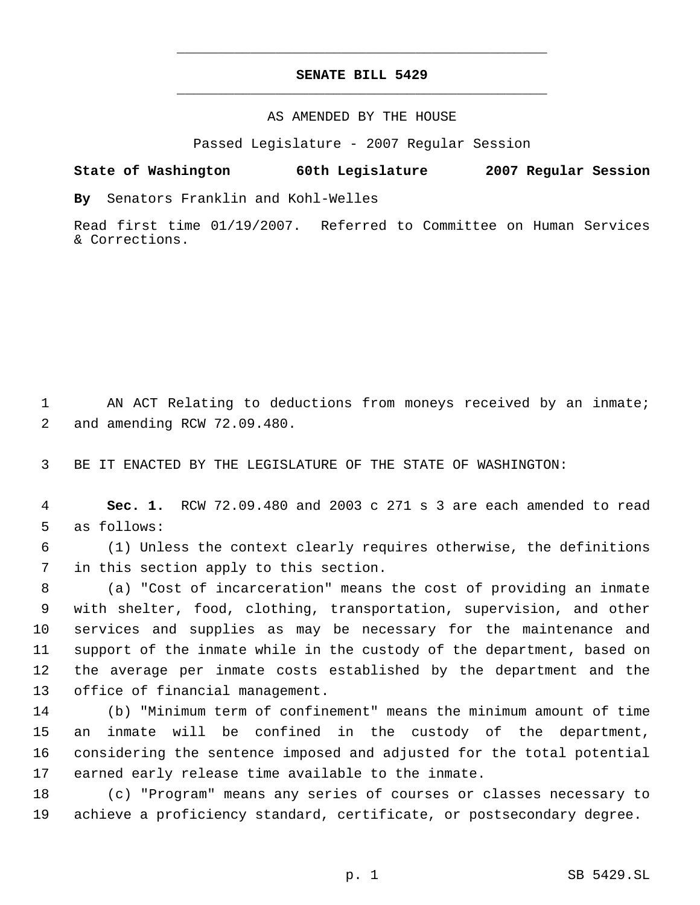# **SENATE BILL 5429** \_\_\_\_\_\_\_\_\_\_\_\_\_\_\_\_\_\_\_\_\_\_\_\_\_\_\_\_\_\_\_\_\_\_\_\_\_\_\_\_\_\_\_\_\_

\_\_\_\_\_\_\_\_\_\_\_\_\_\_\_\_\_\_\_\_\_\_\_\_\_\_\_\_\_\_\_\_\_\_\_\_\_\_\_\_\_\_\_\_\_

### AS AMENDED BY THE HOUSE

Passed Legislature - 2007 Regular Session

## **State of Washington 60th Legislature 2007 Regular Session**

**By** Senators Franklin and Kohl-Welles

Read first time 01/19/2007. Referred to Committee on Human Services & Corrections.

 AN ACT Relating to deductions from moneys received by an inmate; and amending RCW 72.09.480.

BE IT ENACTED BY THE LEGISLATURE OF THE STATE OF WASHINGTON:

 **Sec. 1.** RCW 72.09.480 and 2003 c 271 s 3 are each amended to read as follows:

 (1) Unless the context clearly requires otherwise, the definitions in this section apply to this section.

 (a) "Cost of incarceration" means the cost of providing an inmate with shelter, food, clothing, transportation, supervision, and other services and supplies as may be necessary for the maintenance and support of the inmate while in the custody of the department, based on the average per inmate costs established by the department and the office of financial management.

 (b) "Minimum term of confinement" means the minimum amount of time an inmate will be confined in the custody of the department, considering the sentence imposed and adjusted for the total potential earned early release time available to the inmate.

 (c) "Program" means any series of courses or classes necessary to achieve a proficiency standard, certificate, or postsecondary degree.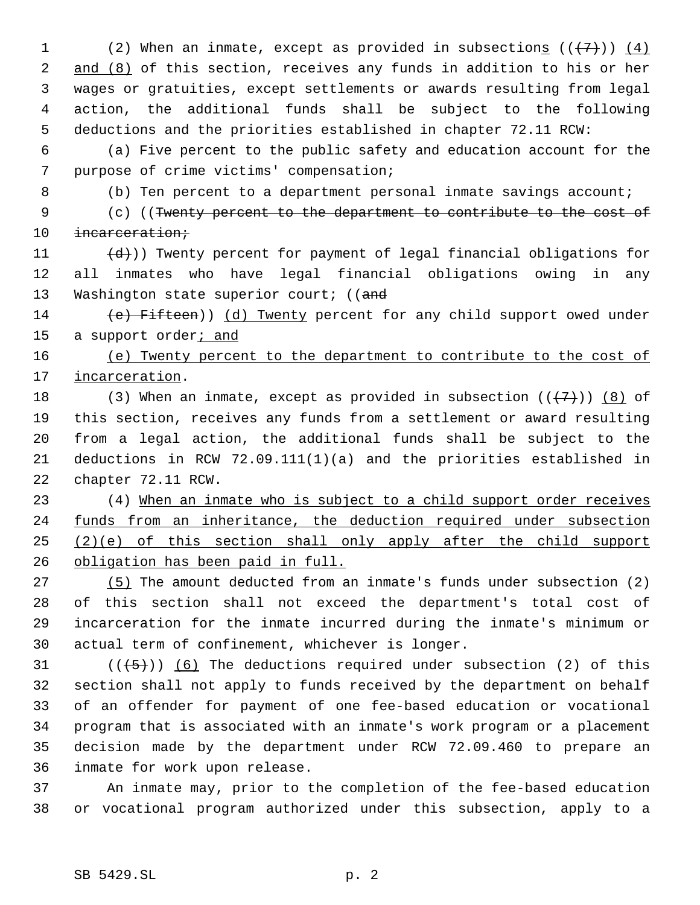1 (2) When an inmate, except as provided in subsections  $((+7))$   $(4)$ 2 and (8) of this section, receives any funds in addition to his or her wages or gratuities, except settlements or awards resulting from legal action, the additional funds shall be subject to the following deductions and the priorities established in chapter 72.11 RCW:

 (a) Five percent to the public safety and education account for the purpose of crime victims' compensation;

(b) Ten percent to a department personal inmate savings account;

 (c) ((Twenty percent to the department to contribute to the cost of 10 incarceration;

11  $(d)$ )) Twenty percent for payment of legal financial obligations for all inmates who have legal financial obligations owing in any 13 Washington state superior court; ((and

14 (e) Fifteen)) (d) Twenty percent for any child support owed under 15 a support order<sub>i</sub> and

 (e) Twenty percent to the department to contribute to the cost of 17 incarceration.

18 (3) When an inmate, except as provided in subsection  $((+7)^2)$  (8) of this section, receives any funds from a settlement or award resulting from a legal action, the additional funds shall be subject to the deductions in RCW 72.09.111(1)(a) and the priorities established in chapter 72.11 RCW.

 (4) When an inmate who is subject to a child support order receives 24 funds from an inheritance, the deduction required under subsection (2)(e) of this section shall only apply after the child support obligation has been paid in full.

 (5) The amount deducted from an inmate's funds under subsection (2) of this section shall not exceed the department's total cost of incarceration for the inmate incurred during the inmate's minimum or actual term of confinement, whichever is longer.

 $((\langle 5 \rangle)(6)$  The deductions required under subsection (2) of this section shall not apply to funds received by the department on behalf of an offender for payment of one fee-based education or vocational program that is associated with an inmate's work program or a placement decision made by the department under RCW 72.09.460 to prepare an inmate for work upon release.

 An inmate may, prior to the completion of the fee-based education or vocational program authorized under this subsection, apply to a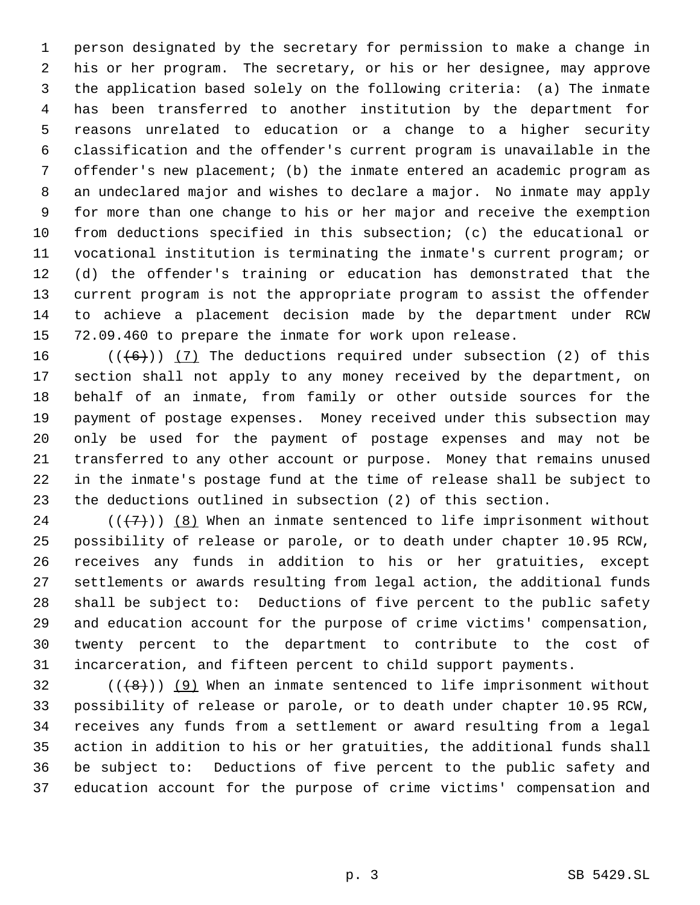person designated by the secretary for permission to make a change in his or her program. The secretary, or his or her designee, may approve the application based solely on the following criteria: (a) The inmate has been transferred to another institution by the department for reasons unrelated to education or a change to a higher security classification and the offender's current program is unavailable in the offender's new placement; (b) the inmate entered an academic program as an undeclared major and wishes to declare a major. No inmate may apply for more than one change to his or her major and receive the exemption from deductions specified in this subsection; (c) the educational or vocational institution is terminating the inmate's current program; or (d) the offender's training or education has demonstrated that the current program is not the appropriate program to assist the offender to achieve a placement decision made by the department under RCW 72.09.460 to prepare the inmate for work upon release.

 $((+6))$   $(7)$  The deductions required under subsection (2) of this section shall not apply to any money received by the department, on behalf of an inmate, from family or other outside sources for the payment of postage expenses. Money received under this subsection may only be used for the payment of postage expenses and may not be transferred to any other account or purpose. Money that remains unused in the inmate's postage fund at the time of release shall be subject to the deductions outlined in subsection (2) of this section.

24 ( $(\overline{+7})$ ) (8) When an inmate sentenced to life imprisonment without possibility of release or parole, or to death under chapter 10.95 RCW, receives any funds in addition to his or her gratuities, except settlements or awards resulting from legal action, the additional funds shall be subject to: Deductions of five percent to the public safety and education account for the purpose of crime victims' compensation, twenty percent to the department to contribute to the cost of incarceration, and fifteen percent to child support payments.

 $((\langle 8 \rangle)(9)$  When an inmate sentenced to life imprisonment without possibility of release or parole, or to death under chapter 10.95 RCW, receives any funds from a settlement or award resulting from a legal action in addition to his or her gratuities, the additional funds shall be subject to: Deductions of five percent to the public safety and education account for the purpose of crime victims' compensation and